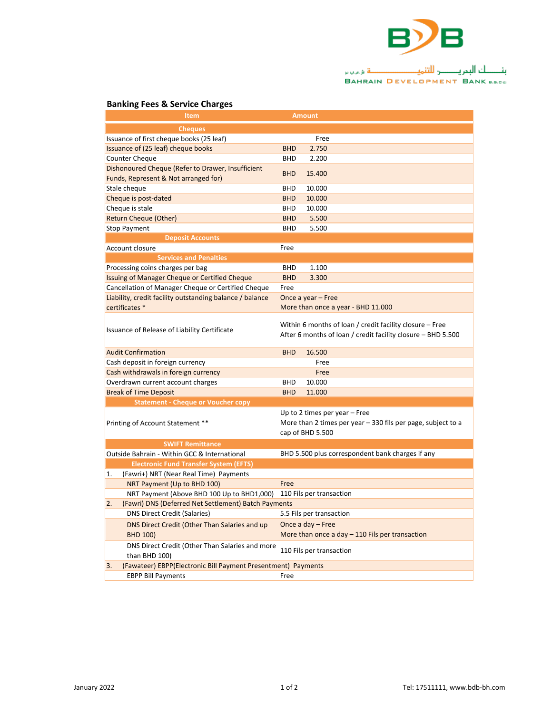

## 

## **Banking Fees & Service Charges**

| Item                                                                                 |                                                                | Amount                                                       |  |
|--------------------------------------------------------------------------------------|----------------------------------------------------------------|--------------------------------------------------------------|--|
| <b>Cheques</b>                                                                       |                                                                |                                                              |  |
| Issuance of first cheque books (25 leaf)                                             |                                                                | Free                                                         |  |
| Issuance of (25 leaf) cheque books                                                   | <b>BHD</b>                                                     | 2.750                                                        |  |
| <b>Counter Cheque</b>                                                                | <b>BHD</b>                                                     | 2.200                                                        |  |
| Dishonoured Cheque (Refer to Drawer, Insufficient                                    | <b>BHD</b>                                                     | 15.400                                                       |  |
| Funds, Represent & Not arranged for)                                                 |                                                                |                                                              |  |
| Stale cheque                                                                         | <b>BHD</b>                                                     | 10.000                                                       |  |
| Cheque is post-dated                                                                 | <b>BHD</b>                                                     | 10.000                                                       |  |
| Cheque is stale                                                                      | <b>BHD</b>                                                     | 10.000                                                       |  |
| Return Cheque (Other)                                                                | <b>BHD</b>                                                     | 5.500                                                        |  |
| <b>Stop Payment</b>                                                                  | <b>BHD</b>                                                     | 5.500                                                        |  |
| <b>Deposit Accounts</b>                                                              |                                                                |                                                              |  |
| Account closure                                                                      | Free                                                           |                                                              |  |
| <b>Services and Penalties</b>                                                        |                                                                |                                                              |  |
| Processing coins charges per bag                                                     | <b>BHD</b>                                                     | 1.100                                                        |  |
| Issuing of Manager Cheque or Certified Cheque                                        | <b>BHD</b>                                                     | 3.300                                                        |  |
| Cancellation of Manager Cheque or Certified Cheque                                   | Free                                                           |                                                              |  |
| Liability, credit facility outstanding balance / balance                             | Once a year - Free                                             |                                                              |  |
| certificates *                                                                       |                                                                | More than once a year - BHD 11.000                           |  |
|                                                                                      |                                                                |                                                              |  |
| Issuance of Release of Liability Certificate                                         |                                                                | Within 6 months of loan / credit facility closure - Free     |  |
|                                                                                      |                                                                | After 6 months of loan / credit facility closure - BHD 5.500 |  |
| <b>Audit Confirmation</b>                                                            | <b>BHD</b>                                                     | 16.500                                                       |  |
| Cash deposit in foreign currency                                                     |                                                                | Free                                                         |  |
| Cash withdrawals in foreign currency                                                 |                                                                | Free                                                         |  |
| Overdrawn current account charges                                                    | <b>BHD</b>                                                     | 10.000                                                       |  |
| <b>Break of Time Deposit</b>                                                         | <b>BHD</b>                                                     | 11.000                                                       |  |
| <b>Statement - Cheque or Voucher copy</b>                                            |                                                                |                                                              |  |
| Printing of Account Statement **                                                     |                                                                | Up to 2 times per year $-$ Free                              |  |
|                                                                                      | More than 2 times per year $-$ 330 fils per page, subject to a |                                                              |  |
|                                                                                      | cap of BHD 5.500                                               |                                                              |  |
| <b>SWIFT Remittance</b>                                                              |                                                                |                                                              |  |
| Outside Bahrain - Within GCC & International                                         |                                                                | BHD 5.500 plus correspondent bank charges if any             |  |
| <b>Electronic Fund Transfer System (EFTS)</b>                                        |                                                                |                                                              |  |
| 1.<br>(Fawri+) NRT (Near Real Time) Payments                                         |                                                                |                                                              |  |
| NRT Payment (Up to BHD 100)                                                          | Free                                                           |                                                              |  |
| NRT Payment (Above BHD 100 Up to BHD1,000)                                           | 110 Fils per transaction                                       |                                                              |  |
| (Fawri) DNS (Deferred Net Settlement) Batch Payments<br>2.                           |                                                                |                                                              |  |
| <b>DNS Direct Credit (Salaries)</b>                                                  | 5.5 Fils per transaction                                       |                                                              |  |
| DNS Direct Credit (Other Than Salaries and up                                        | Once a day - Free                                              |                                                              |  |
| <b>BHD 100)</b>                                                                      |                                                                | More than once a day $-$ 110 Fils per transaction            |  |
|                                                                                      |                                                                |                                                              |  |
| DNS Direct Credit (Other Than Salaries and more                                      |                                                                | 110 Fils per transaction                                     |  |
| than BHD 100)<br>3.<br>(Fawateer) EBPP(Electronic Bill Payment Presentment) Payments |                                                                |                                                              |  |
|                                                                                      |                                                                |                                                              |  |
| <b>EBPP Bill Payments</b>                                                            | Free                                                           |                                                              |  |